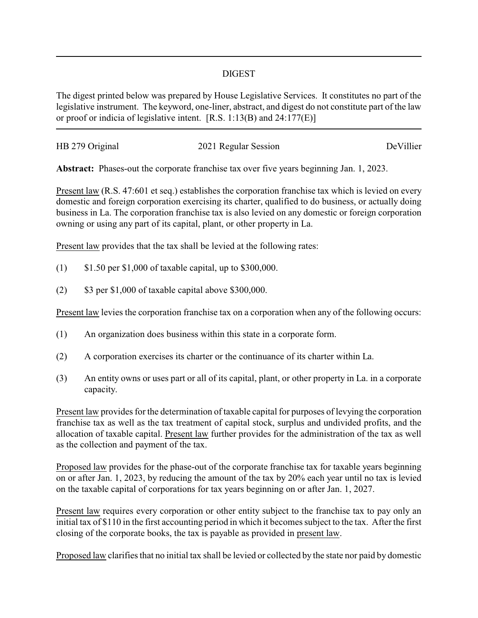## DIGEST

The digest printed below was prepared by House Legislative Services. It constitutes no part of the legislative instrument. The keyword, one-liner, abstract, and digest do not constitute part of the law or proof or indicia of legislative intent. [R.S. 1:13(B) and 24:177(E)]

| HB 279 Original | 2021 Regular Session | DeVillier |
|-----------------|----------------------|-----------|
|                 |                      |           |

**Abstract:** Phases-out the corporate franchise tax over five years beginning Jan. 1, 2023.

Present law (R.S. 47:601 et seq.) establishes the corporation franchise tax which is levied on every domestic and foreign corporation exercising its charter, qualified to do business, or actually doing business in La. The corporation franchise tax is also levied on any domestic or foreign corporation owning or using any part of its capital, plant, or other property in La.

Present law provides that the tax shall be levied at the following rates:

- (1) \$1.50 per \$1,000 of taxable capital, up to \$300,000.
- (2)  $$3 \text{ per } $1,000 \text{ of taxable capital above } $300,000.$

Present law levies the corporation franchise tax on a corporation when any of the following occurs:

- (1) An organization does business within this state in a corporate form.
- (2) A corporation exercises its charter or the continuance of its charter within La.
- (3) An entity owns or uses part or all of its capital, plant, or other property in La. in a corporate capacity.

Present law provides for the determination of taxable capital for purposes of levying the corporation franchise tax as well as the tax treatment of capital stock, surplus and undivided profits, and the allocation of taxable capital. Present law further provides for the administration of the tax as well as the collection and payment of the tax.

Proposed law provides for the phase-out of the corporate franchise tax for taxable years beginning on or after Jan. 1, 2023, by reducing the amount of the tax by 20% each year until no tax is levied on the taxable capital of corporations for tax years beginning on or after Jan. 1, 2027.

Present law requires every corporation or other entity subject to the franchise tax to pay only an initial tax of \$110 in the first accounting period in which it becomes subject to the tax. After the first closing of the corporate books, the tax is payable as provided in present law.

Proposed law clarifies that no initial tax shall be levied or collected by the state nor paid by domestic